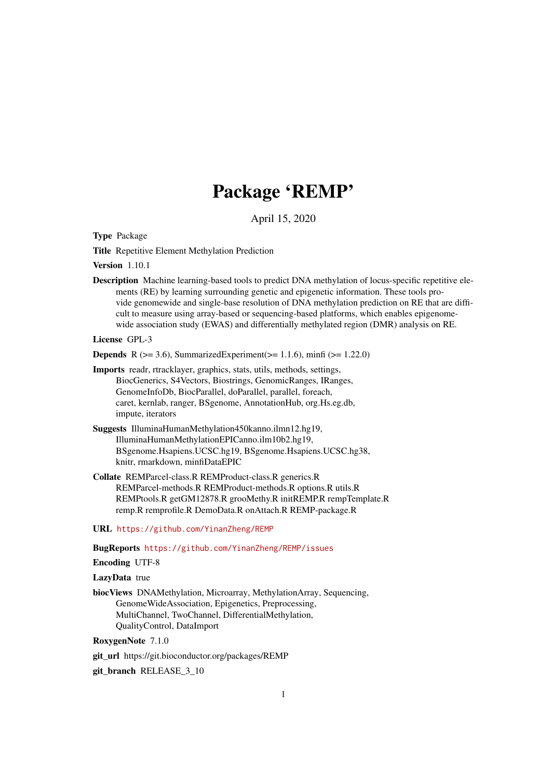# Package 'REMP'

April 15, 2020

<span id="page-0-0"></span>Type Package

Title Repetitive Element Methylation Prediction

Version 1.10.1

Description Machine learning-based tools to predict DNA methylation of locus-specific repetitive elements (RE) by learning surrounding genetic and epigenetic information. These tools provide genomewide and single-base resolution of DNA methylation prediction on RE that are difficult to measure using array-based or sequencing-based platforms, which enables epigenomewide association study (EWAS) and differentially methylated region (DMR) analysis on RE.

License GPL-3

**Depends** R ( $>= 3.6$ ), SummarizedExperiment( $>= 1.1.6$ ), minfi ( $>= 1.22.0$ )

- Imports readr, rtracklayer, graphics, stats, utils, methods, settings, BiocGenerics, S4Vectors, Biostrings, GenomicRanges, IRanges, GenomeInfoDb, BiocParallel, doParallel, parallel, foreach, caret, kernlab, ranger, BSgenome, AnnotationHub, org.Hs.eg.db, impute, iterators
- Suggests IlluminaHumanMethylation450kanno.ilmn12.hg19, IlluminaHumanMethylationEPICanno.ilm10b2.hg19, BSgenome.Hsapiens.UCSC.hg19, BSgenome.Hsapiens.UCSC.hg38, knitr, rmarkdown, minfiDataEPIC
- Collate REMParcel-class.R REMProduct-class.R generics.R REMParcel-methods.R REMProduct-methods.R options.R utils.R REMPtools.R getGM12878.R grooMethy.R initREMP.R rempTemplate.R remp.R remprofile.R DemoData.R onAttach.R REMP-package.R

URL <https://github.com/YinanZheng/REMP>

BugReports <https://github.com/YinanZheng/REMP/issues>

Encoding UTF-8

#### LazyData true

biocViews DNAMethylation, Microarray, MethylationArray, Sequencing, GenomeWideAssociation, Epigenetics, Preprocessing, MultiChannel, TwoChannel, DifferentialMethylation, QualityControl, DataImport

RoxygenNote 7.1.0

git\_url https://git.bioconductor.org/packages/REMP

git\_branch RELEASE\_3\_10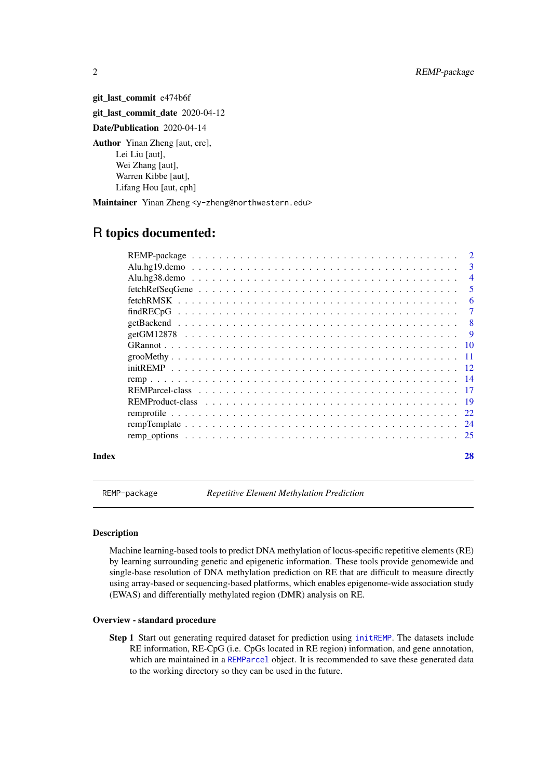git last commit e474b6f git\_last\_commit\_date 2020-04-12

Date/Publication 2020-04-14

Author Yinan Zheng [aut, cre], Lei Liu [aut], Wei Zhang [aut], Warren Kibbe [aut], Lifang Hou [aut, cph]

Maintainer Yinan Zheng <y-zheng@northwestern.edu>

# R topics documented:

|       | $fetchRefSeqGene \dots \dots \dots \dots \dots \dots \dots \dots \dots \dots \dots \dots \dots \dots \dots \dots$ | -5 |
|-------|-------------------------------------------------------------------------------------------------------------------|----|
|       |                                                                                                                   |    |
|       |                                                                                                                   |    |
|       |                                                                                                                   |    |
|       |                                                                                                                   |    |
|       |                                                                                                                   |    |
|       |                                                                                                                   |    |
|       |                                                                                                                   |    |
|       |                                                                                                                   |    |
|       |                                                                                                                   |    |
|       |                                                                                                                   |    |
|       |                                                                                                                   |    |
|       |                                                                                                                   |    |
|       |                                                                                                                   |    |
| Index |                                                                                                                   | 28 |

REMP-package *Repetitive Element Methylation Prediction*

#### Description

Machine learning-based tools to predict DNA methylation of locus-specific repetitive elements (RE) by learning surrounding genetic and epigenetic information. These tools provide genomewide and single-base resolution of DNA methylation prediction on RE that are difficult to measure directly using array-based or sequencing-based platforms, which enables epigenome-wide association study (EWAS) and differentially methylated region (DMR) analysis on RE.

#### Overview - standard procedure

Step 1 Start out generating required dataset for prediction using [initREMP](#page-11-1). The datasets include RE information, RE-CpG (i.e. CpGs located in RE region) information, and gene annotation, which are maintained in a [REMParcel](#page-16-1) object. It is recommended to save these generated data to the working directory so they can be used in the future.

<span id="page-1-0"></span>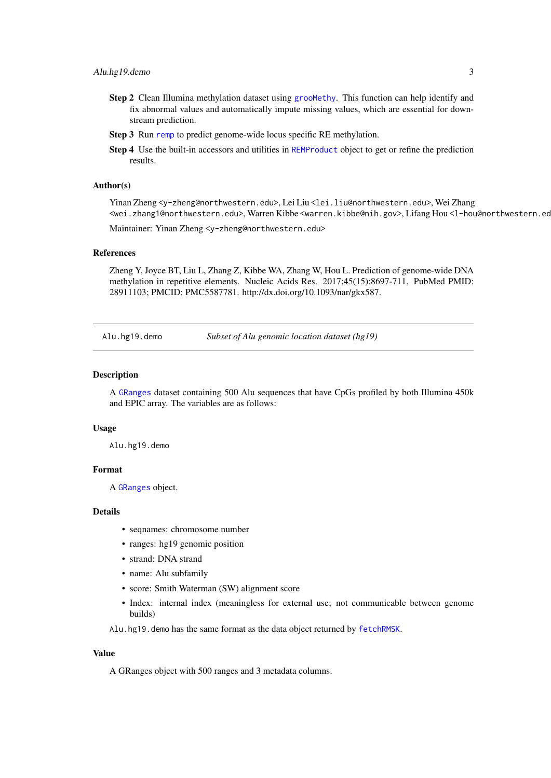- <span id="page-2-0"></span>Step 2 Clean Illumina methylation dataset using groomethy. This function can help identify and fix abnormal values and automatically impute missing values, which are essential for downstream prediction.
- Step 3 Run [remp](#page-13-1) to predict genome-wide locus specific RE methylation.
- Step 4 Use the built-in accessors and utilities in [REMProduct](#page-18-1) object to get or refine the prediction results.

#### Author(s)

Yinan Zheng <y-zheng@northwestern.edu>, Lei Liu <lei.liu@northwestern.edu>, Wei Zhang <wei.zhang1@northwestern.edu>, Warren Kibbe <warren.kibbe@nih.gov>, Lifang Hou <l-hou@northwestern.edu> Maintainer: Yinan Zheng <y-zheng@northwestern.edu>

# References

Zheng Y, Joyce BT, Liu L, Zhang Z, Kibbe WA, Zhang W, Hou L. Prediction of genome-wide DNA methylation in repetitive elements. Nucleic Acids Res. 2017;45(15):8697-711. PubMed PMID: 28911103; PMCID: PMC5587781. http://dx.doi.org/10.1093/nar/gkx587.

Alu.hg19.demo *Subset of Alu genomic location dataset (hg19)*

#### Description

A [GRanges](#page-0-0) dataset containing 500 Alu sequences that have CpGs profiled by both Illumina 450k and EPIC array. The variables are as follows:

#### Usage

Alu.hg19.demo

#### Format

A [GRanges](#page-0-0) object.

#### Details

- seqnames: chromosome number
- ranges: hg19 genomic position
- strand: DNA strand
- name: Alu subfamily
- score: Smith Waterman (SW) alignment score
- Index: internal index (meaningless for external use; not communicable between genome builds)

Alu.hg19.demo has the same format as the data object returned by [fetchRMSK](#page-5-1).

#### Value

A GRanges object with 500 ranges and 3 metadata columns.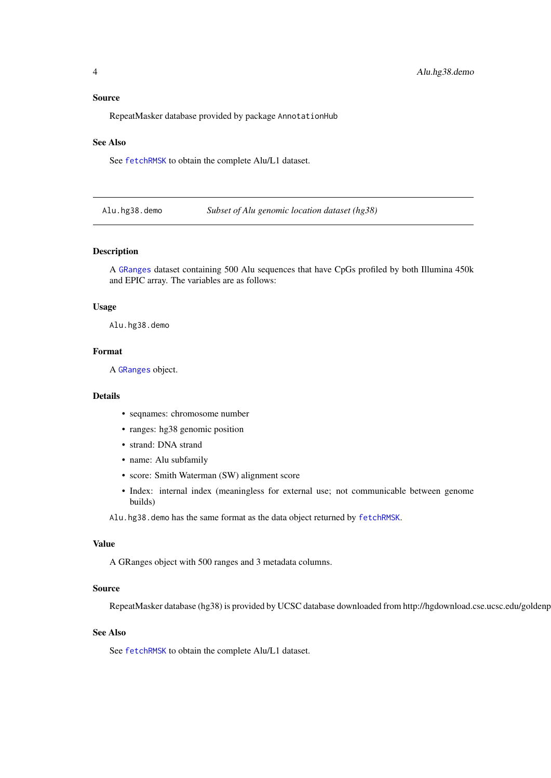#### <span id="page-3-0"></span>Source

RepeatMasker database provided by package AnnotationHub

#### See Also

See [fetchRMSK](#page-5-1) to obtain the complete Alu/L1 dataset.

Alu.hg38.demo *Subset of Alu genomic location dataset (hg38)*

#### Description

A [GRanges](#page-0-0) dataset containing 500 Alu sequences that have CpGs profiled by both Illumina 450k and EPIC array. The variables are as follows:

#### Usage

Alu.hg38.demo

#### Format

A [GRanges](#page-0-0) object.

#### Details

- seqnames: chromosome number
- ranges: hg38 genomic position
- strand: DNA strand
- name: Alu subfamily
- score: Smith Waterman (SW) alignment score
- Index: internal index (meaningless for external use; not communicable between genome builds)

Alu.hg38.demo has the same format as the data object returned by [fetchRMSK](#page-5-1).

#### Value

A GRanges object with 500 ranges and 3 metadata columns.

#### Source

RepeatMasker database (hg38) is provided by UCSC database downloaded from http://hgdownload.cse.ucsc.edu/goldenp

#### See Also

See [fetchRMSK](#page-5-1) to obtain the complete Alu/L1 dataset.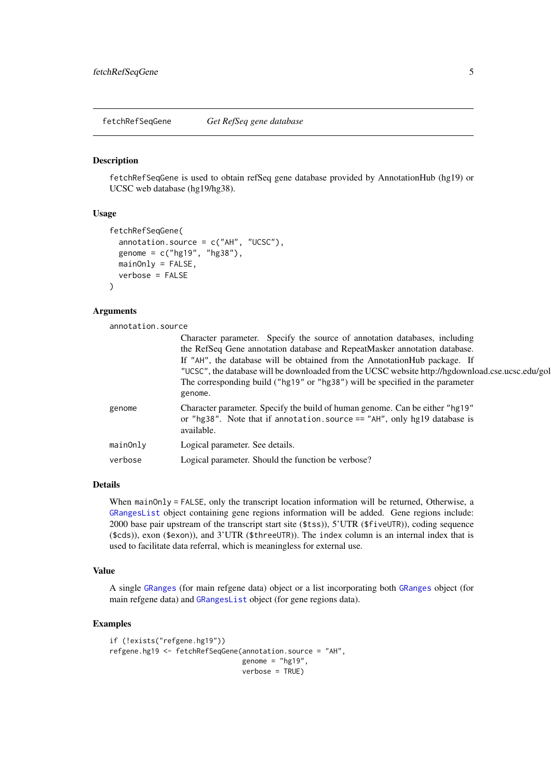<span id="page-4-1"></span><span id="page-4-0"></span>fetchRefSeqGene *Get RefSeq gene database*

#### Description

fetchRefSeqGene is used to obtain refSeq gene database provided by AnnotationHub (hg19) or UCSC web database (hg19/hg38).

#### Usage

```
fetchRefSeqGene(
 annotation.source = c("AH", "UCSC"),
 genome = c("hg19", "hg38"),mainOnly = FALSE,verbose = FALSE
)
```
#### Arguments

annotation.source

|          | Character parameter. Specify the source of annotation databases, including<br>the RefSeq Gene annotation database and RepeatMasker annotation database.<br>If "AH", the database will be obtained from the AnnotationHub package. If<br>"UCSC", the database will be downloaded from the UCSC website http://hgdownload.cse.ucsc.edu/gol<br>The corresponding build ("hg19" or "hg38") will be specified in the parameter<br>genome. |
|----------|--------------------------------------------------------------------------------------------------------------------------------------------------------------------------------------------------------------------------------------------------------------------------------------------------------------------------------------------------------------------------------------------------------------------------------------|
| genome   | Character parameter. Specify the build of human genome. Can be either "hg19"<br>or "hg38". Note that if annotation. source $==$ "AH", only hg19 database is<br>available.                                                                                                                                                                                                                                                            |
| mainOnly | Logical parameter. See details.                                                                                                                                                                                                                                                                                                                                                                                                      |
| verbose  | Logical parameter. Should the function be verbose?                                                                                                                                                                                                                                                                                                                                                                                   |

#### Details

When mainOnly = FALSE, only the transcript location information will be returned, Otherwise, a [GRangesList](#page-0-0) object containing gene regions information will be added. Gene regions include: 2000 base pair upstream of the transcript start site (\$tss)), 5'UTR (\$fiveUTR)), coding sequence (\$cds)), exon (\$exon)), and 3'UTR (\$threeUTR)). The index column is an internal index that is used to facilitate data referral, which is meaningless for external use.

#### Value

A single [GRanges](#page-0-0) (for main refgene data) object or a list incorporating both [GRanges](#page-0-0) object (for main refgene data) and [GRangesList](#page-0-0) object (for gene regions data).

```
if (!exists("refgene.hg19"))
refgene.hg19 <- fetchRefSeqGene(annotation.source = "AH",
                                genome = "hg19",
                                verbose = TRUE)
```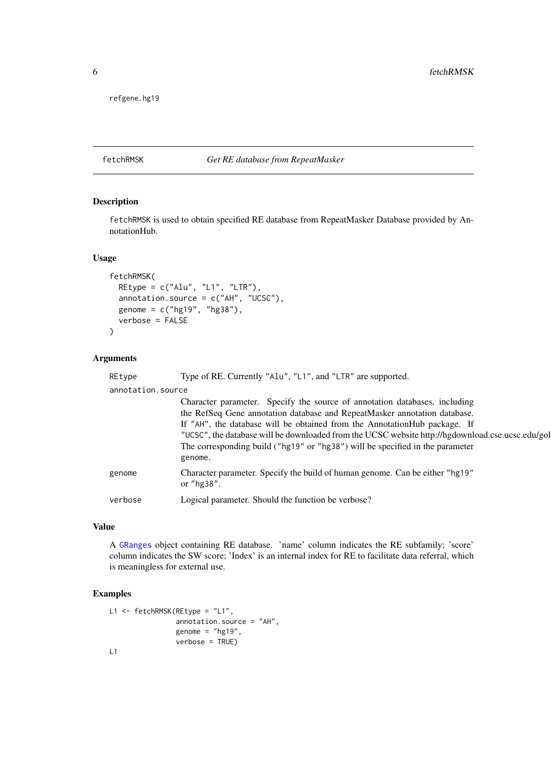<span id="page-5-0"></span>refgene.hg19

# <span id="page-5-1"></span>fetchRMSK *Get RE database from RepeatMasker*

#### Description

fetchRMSK is used to obtain specified RE database from RepeatMasker Database provided by AnnotationHub.

# Usage

```
fetchRMSK(
 REtype = c("Alu", "L1", "LTR"),
 annotation.source = c("AH", "UCSC"),genome = c("hg19", "hg38"),
 verbose = FALSE
)
```
# Arguments

| REtype            | Type of RE. Currently "Alu", "L1", and "LTR" are supported.                                                                                                                                                                                                                                                                                                                                                                          |
|-------------------|--------------------------------------------------------------------------------------------------------------------------------------------------------------------------------------------------------------------------------------------------------------------------------------------------------------------------------------------------------------------------------------------------------------------------------------|
| annotation.source |                                                                                                                                                                                                                                                                                                                                                                                                                                      |
|                   | Character parameter. Specify the source of annotation databases, including<br>the RefSeq Gene annotation database and RepeatMasker annotation database.<br>If "AH", the database will be obtained from the AnnotationHub package. If<br>"UCSC", the database will be downloaded from the UCSC website http://hgdownload.cse.ucsc.edu/gol<br>The corresponding build ("hg19" or "hg38") will be specified in the parameter<br>genome. |
| genome            | Character parameter. Specify the build of human genome. Can be either "hg19"<br>or $"$ hg $38"$ .                                                                                                                                                                                                                                                                                                                                    |
| verbose           | Logical parameter. Should the function be verbose?                                                                                                                                                                                                                                                                                                                                                                                   |

## Value

A [GRanges](#page-0-0) object containing RE database. 'name' column indicates the RE subfamily; 'score' column indicates the SW score; 'Index' is an internal index for RE to facilitate data referral, which is meaningless for external use.

```
L1 <- fetchRMSK(REtype = "L1",
               annotation.source = "AH",
                genome = "hg19",verbose = TRUE)
L1
```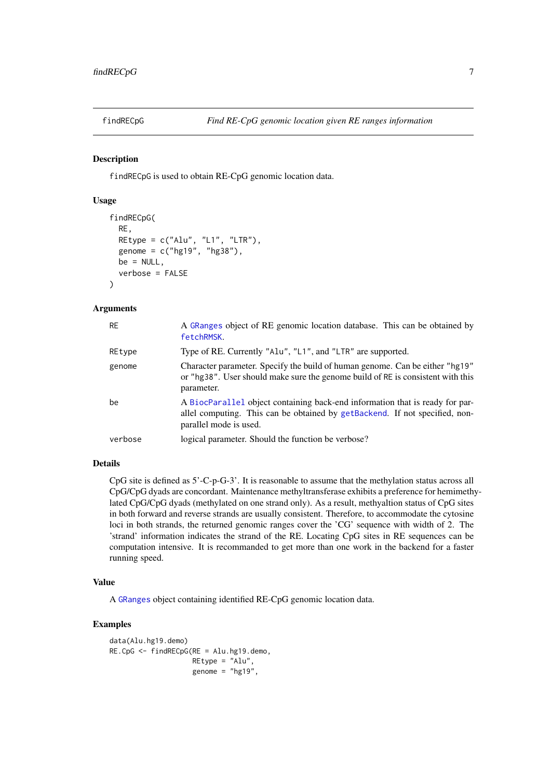<span id="page-6-1"></span><span id="page-6-0"></span>

#### Description

findRECpG is used to obtain RE-CpG genomic location data.

# Usage

```
findRECpG(
  RE,
  REtype = c("Alu", "L1", "LTR"),
  genome = c("hg19", "hg38"),
  be = NULL.
  verbose = FALSE
)
```
# Arguments

| <b>RE</b> | A GRanges object of RE genomic location database. This can be obtained by<br>fetchRMSK.                                                                                               |
|-----------|---------------------------------------------------------------------------------------------------------------------------------------------------------------------------------------|
| REtype    | Type of RE. Currently "Alu", "L1", and "LTR" are supported.                                                                                                                           |
| genome    | Character parameter. Specify the build of human genome. Can be either "hg19"<br>or "hg38". User should make sure the genome build of RE is consistent with this<br>parameter.         |
| be        | A BiocParallel object containing back-end information that is ready for par-<br>allel computing. This can be obtained by getBackend. If not specified, non-<br>parallel mode is used. |
| verbose   | logical parameter. Should the function be verbose?                                                                                                                                    |

#### Details

CpG site is defined as 5'-C-p-G-3'. It is reasonable to assume that the methylation status across all CpG/CpG dyads are concordant. Maintenance methyltransferase exhibits a preference for hemimethylated CpG/CpG dyads (methylated on one strand only). As a result, methyaltion status of CpG sites in both forward and reverse strands are usually consistent. Therefore, to accommodate the cytosine loci in both strands, the returned genomic ranges cover the 'CG' sequence with width of 2. The 'strand' information indicates the strand of the RE. Locating CpG sites in RE sequences can be computation intensive. It is recommanded to get more than one work in the backend for a faster running speed.

#### Value

A [GRanges](#page-0-0) object containing identified RE-CpG genomic location data.

```
data(Alu.hg19.demo)
RE.CpG <- findRECpG(RE = Alu.hg19.demo,
                    REtype = "Alu",
                    genome = "hg19",
```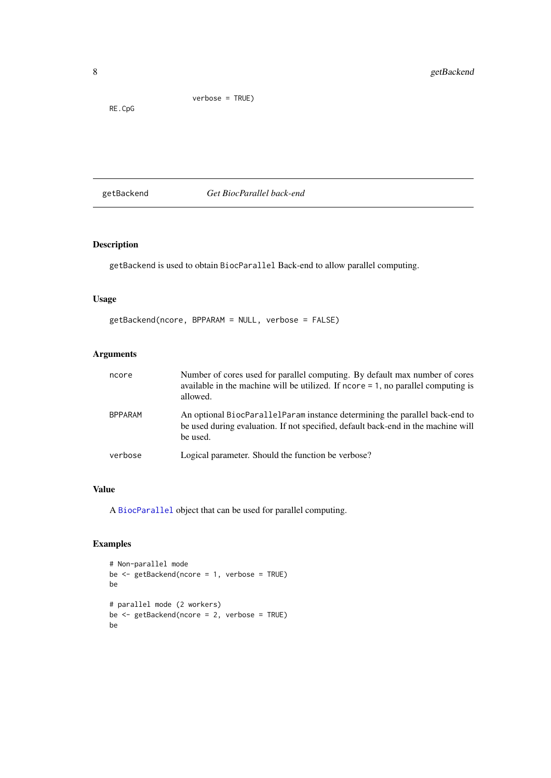<span id="page-7-0"></span>RE.CpG

verbose = TRUE)

<span id="page-7-1"></span>getBackend *Get BiocParallel back-end*

# Description

getBackend is used to obtain BiocParallel Back-end to allow parallel computing.

# Usage

getBackend(ncore, BPPARAM = NULL, verbose = FALSE)

# Arguments

| ncore          | Number of cores used for parallel computing. By default max number of cores<br>available in the machine will be utilized. If $ncore = 1$ , no parallel computing is<br>allowed. |
|----------------|---------------------------------------------------------------------------------------------------------------------------------------------------------------------------------|
| <b>BPPARAM</b> | An optional BiocParallelParam instance determining the parallel back-end to<br>be used during evaluation. If not specified, default back-end in the machine will<br>be used.    |
| verbose        | Logical parameter. Should the function be verbose?                                                                                                                              |

#### Value

A [BiocParallel](#page-0-0) object that can be used for parallel computing.

```
# Non-parallel mode
be <- getBackend(ncore = 1, verbose = TRUE)
be
# parallel mode (2 workers)
be <- getBackend(ncore = 2, verbose = TRUE)
be
```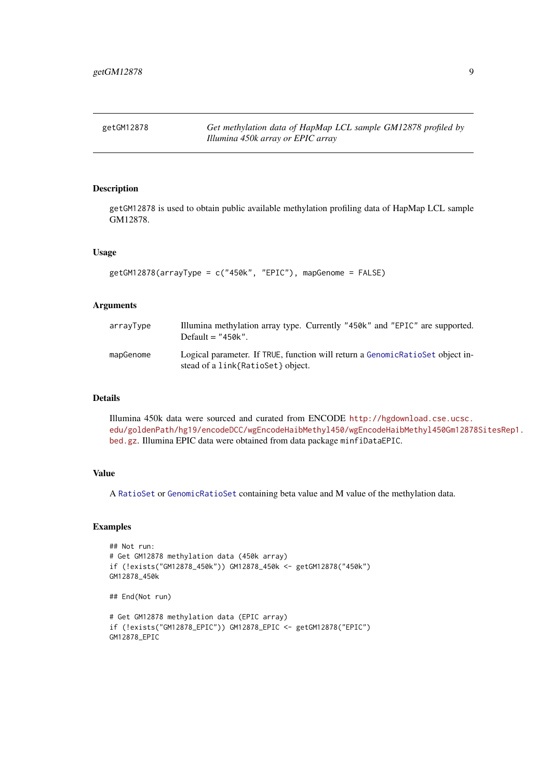<span id="page-8-0"></span>getGM12878 *Get methylation data of HapMap LCL sample GM12878 profiled by Illumina 450k array or EPIC array*

# Description

getGM12878 is used to obtain public available methylation profiling data of HapMap LCL sample GM12878.

#### Usage

```
getGM12878(arrayType = c("450k", "EPIC"), mapGenome = FALSE)
```
#### Arguments

| arrayType | Illumina methylation array type. Currently "450k" and "EPIC" are supported.<br>Default $=$ "450k".                  |
|-----------|---------------------------------------------------------------------------------------------------------------------|
| mapGenome | Logical parameter. If TRUE, function will return a Genomic RatioSet object in-<br>stead of a link{RatioSet} object. |

# Details

Illumina 450k data were sourced and curated from ENCODE [http://hgdownload.cse.ucsc.](http://hgdownload.cse.ucsc.edu/goldenPath/hg19/encodeDCC/wgEncodeHaibMethyl450/wgEncodeHaibMethyl450Gm12878SitesRep1.bed.gz) [edu/goldenPath/hg19/encodeDCC/wgEncodeHaibMethyl450/wgEncodeHaibMethyl450Gm12878](http://hgdownload.cse.ucsc.edu/goldenPath/hg19/encodeDCC/wgEncodeHaibMethyl450/wgEncodeHaibMethyl450Gm12878SitesRep1.bed.gz)SitesRep1. [bed.gz](http://hgdownload.cse.ucsc.edu/goldenPath/hg19/encodeDCC/wgEncodeHaibMethyl450/wgEncodeHaibMethyl450Gm12878SitesRep1.bed.gz). Illumina EPIC data were obtained from data package minfiDataEPIC.

#### Value

A [RatioSet](#page-0-0) or [GenomicRatioSet](#page-0-0) containing beta value and M value of the methylation data.

```
## Not run:
# Get GM12878 methylation data (450k array)
if (!exists("GM12878_450k")) GM12878_450k <- getGM12878("450k")
GM12878_450k
## End(Not run)
# Get GM12878 methylation data (EPIC array)
if (!exists("GM12878_EPIC")) GM12878_EPIC <- getGM12878("EPIC")
GM12878_EPIC
```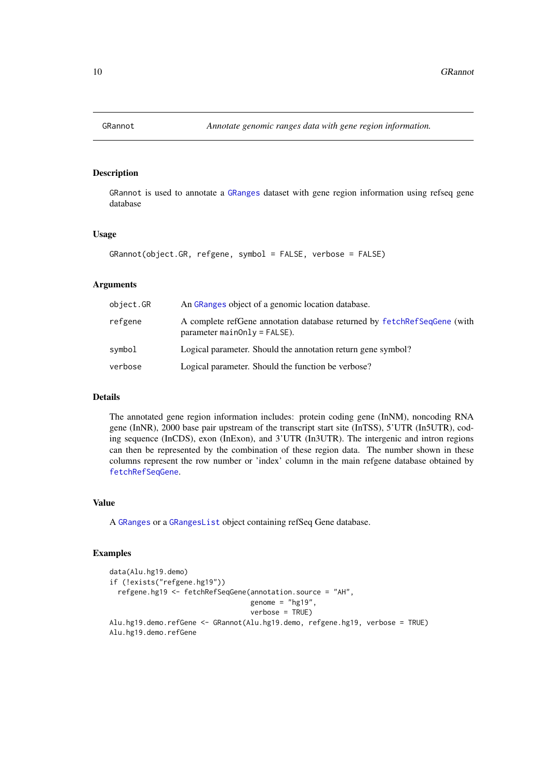<span id="page-9-1"></span><span id="page-9-0"></span>

#### Description

GRannot is used to annotate a [GRanges](#page-0-0) dataset with gene region information using refseq gene database

### Usage

```
GRannot(object.GR, refgene, symbol = FALSE, verbose = FALSE)
```
#### Arguments

| object.GR | An GRanges object of a genomic location database.                                                                  |
|-----------|--------------------------------------------------------------------------------------------------------------------|
| refgene   | A complete refGene annotation database returned by fetchRefSeqGene (with<br>$parameter \text{mainOnly} = FALSE$ ). |
| symbol    | Logical parameter. Should the annotation return gene symbol?                                                       |
| verbose   | Logical parameter. Should the function be verbose?                                                                 |

#### Details

The annotated gene region information includes: protein coding gene (InNM), noncoding RNA gene (InNR), 2000 base pair upstream of the transcript start site (InTSS), 5'UTR (In5UTR), coding sequence (InCDS), exon (InExon), and 3'UTR (In3UTR). The intergenic and intron regions can then be represented by the combination of these region data. The number shown in these columns represent the row number or 'index' column in the main refgene database obtained by [fetchRefSeqGene](#page-4-1).

#### Value

A [GRanges](#page-0-0) or a [GRangesList](#page-0-0) object containing refSeq Gene database.

```
data(Alu.hg19.demo)
if (!exists("refgene.hg19"))
  refgene.hg19 <- fetchRefSeqGene(annotation.source = "AH",
                                  genome = "hg19",
                                  verbose = TRUE)
Alu.hg19.demo.refGene <- GRannot(Alu.hg19.demo, refgene.hg19, verbose = TRUE)
Alu.hg19.demo.refGene
```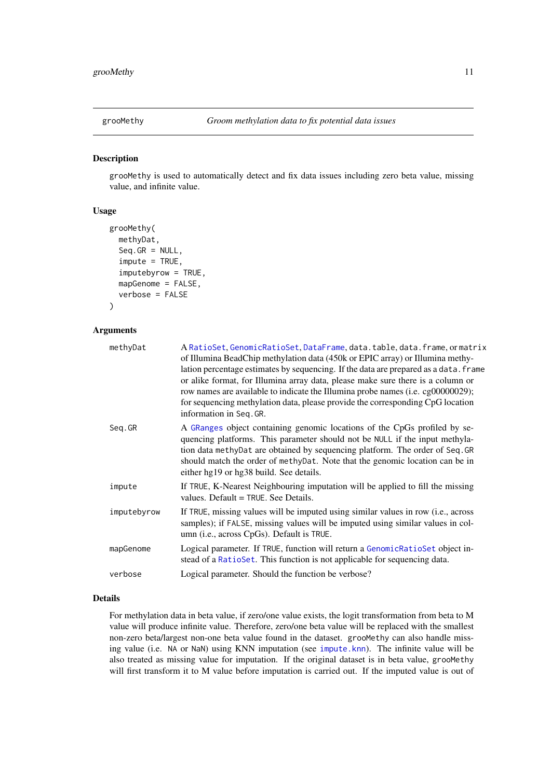<span id="page-10-1"></span><span id="page-10-0"></span>

#### Description

grooMethy is used to automatically detect and fix data issues including zero beta value, missing value, and infinite value.

### Usage

```
grooMethy(
  methyDat,
  Seq.GR = NULL,\text{impute} = \text{TRUE},
  imputebyrow = TRUE,
  mapGenome = FALSE,
  verbose = FALSE
)
```
#### Arguments

|             | A RatioSet, GenomicRatioSet, DataFrame, data.table, data.frame, or matrix<br>of Illumina BeadChip methylation data (450k or EPIC array) or Illumina methy-<br>lation percentage estimates by sequencing. If the data are prepared as a data. frame<br>or alike format, for Illumina array data, please make sure there is a column or<br>row names are available to indicate the Illumina probe names (i.e. cg00000029);<br>for sequencing methylation data, please provide the corresponding CpG location<br>information in Seq. GR. |
|-------------|---------------------------------------------------------------------------------------------------------------------------------------------------------------------------------------------------------------------------------------------------------------------------------------------------------------------------------------------------------------------------------------------------------------------------------------------------------------------------------------------------------------------------------------|
| Seq.GR      | A GRanges object containing genomic locations of the CpGs profiled by se-<br>quencing platforms. This parameter should not be NULL if the input methyla-<br>tion data methyDat are obtained by sequencing platform. The order of Seq. GR<br>should match the order of methyDat. Note that the genomic location can be in<br>either hg19 or hg38 build. See details.                                                                                                                                                                   |
| impute      | If TRUE, K-Nearest Neighbouring imputation will be applied to fill the missing<br>values. Default = TRUE. See Details.                                                                                                                                                                                                                                                                                                                                                                                                                |
| imputebyrow | If TRUE, missing values will be imputed using similar values in row (i.e., across<br>samples); if FALSE, missing values will be imputed using similar values in col-<br>umn ( <i>i.e.</i> , across CpGs). Default is TRUE.                                                                                                                                                                                                                                                                                                            |
| mapGenome   | Logical parameter. If TRUE, function will return a GenomicRatioSet object in-<br>stead of a RatioSet. This function is not applicable for sequencing data.                                                                                                                                                                                                                                                                                                                                                                            |
| verbose     | Logical parameter. Should the function be verbose?                                                                                                                                                                                                                                                                                                                                                                                                                                                                                    |

#### Details

For methylation data in beta value, if zero/one value exists, the logit transformation from beta to M value will produce infinite value. Therefore, zero/one beta value will be replaced with the smallest non-zero beta/largest non-one beta value found in the dataset. grooMethy can also handle missing value (i.e. NA or NaN) using KNN imputation (see [impute.knn](#page-0-0)). The infinite value will be also treated as missing value for imputation. If the original dataset is in beta value, grooMethy will first transform it to M value before imputation is carried out. If the imputed value is out of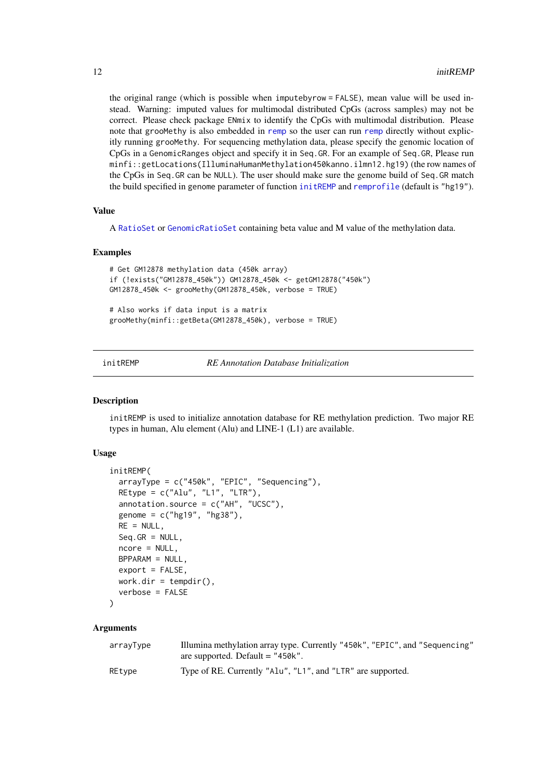the original range (which is possible when imputebyrow = FALSE), mean value will be used instead. Warning: imputed values for multimodal distributed CpGs (across samples) may not be correct. Please check package ENmix to identify the CpGs with multimodal distribution. Please note that grooMethy is also embedded in [remp](#page-13-1) so the user can run [remp](#page-13-1) directly without explicitly running grooMethy. For sequencing methylation data, please specify the genomic location of CpGs in a GenomicRanges object and specify it in Seq.GR. For an example of Seq.GR, Please run minfi::getLocations(IlluminaHumanMethylation450kanno.ilmn12.hg19) (the row names of the CpGs in Seq.GR can be NULL). The user should make sure the genome build of Seq.GR match the build specified in genome parameter of function [initREMP](#page-11-1) and [remprofile](#page-21-1) (default is "hg19").

#### Value

A [RatioSet](#page-0-0) or [GenomicRatioSet](#page-0-0) containing beta value and M value of the methylation data.

#### Examples

```
# Get GM12878 methylation data (450k array)
if (!exists("GM12878_450k")) GM12878_450k <- getGM12878("450k")
GM12878_450k <- grooMethy(GM12878_450k, verbose = TRUE)
# Also works if data input is a matrix
grooMethy(minfi::getBeta(GM12878_450k), verbose = TRUE)
```
<span id="page-11-1"></span>initREMP *RE Annotation Database Initialization*

#### Description

initREMP is used to initialize annotation database for RE methylation prediction. Two major RE types in human, Alu element (Alu) and LINE-1 (L1) are available.

#### Usage

```
initREMP(
  arrayType = c("450k", "EPIC", "Sequencing"),
  REtype = c("Alu", "L1", "LTR"),
  annotation.source = c("AH", "UCSC"),
  genome = c("hg19", "hg38"),
 RE = NULL,
  Seq.GR = NULL,ncore = NULL,
 BPPARAM = NULL,
  export = FALSE,work.dir = tempdir(),
  verbose = FALSE
)
```
#### Arguments

| arrayType | Illumina methylation array type. Currently "450k", "EPIC", and "Sequencing" |
|-----------|-----------------------------------------------------------------------------|
|           | are supported. Default $=$ "450 $k$ ".                                      |
| REtype    | Type of RE. Currently "Alu", "L1", and "LTR" are supported.                 |

<span id="page-11-0"></span>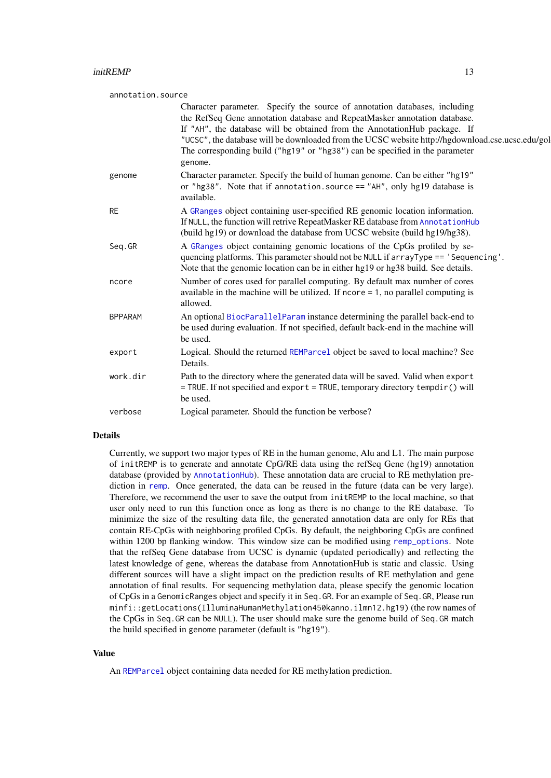<span id="page-12-0"></span>

| annotation.source |                                                                                                                                                                                                                                                                                                                                                                                                                                     |
|-------------------|-------------------------------------------------------------------------------------------------------------------------------------------------------------------------------------------------------------------------------------------------------------------------------------------------------------------------------------------------------------------------------------------------------------------------------------|
|                   | Character parameter. Specify the source of annotation databases, including<br>the RefSeq Gene annotation database and RepeatMasker annotation database.<br>If "AH", the database will be obtained from the AnnotationHub package. If<br>"UCSC", the database will be downloaded from the UCSC website http://hgdownload.cse.ucsc.edu/gol<br>The corresponding build ("hg19" or "hg38") can be specified in the parameter<br>genome. |
| genome            | Character parameter. Specify the build of human genome. Can be either "hg19"<br>or "hg38". Note that if annotation. source $==$ "AH", only hg19 database is<br>available.                                                                                                                                                                                                                                                           |
| <b>RE</b>         | A GRanges object containing user-specified RE genomic location information.<br>If NULL, the function will retrive RepeatMasker RE database from AnnotationHub<br>(build hg19) or download the database from UCSC website (build hg19/hg38).                                                                                                                                                                                         |
| Seq.GR            | A GRanges object containing genomic locations of the CpGs profiled by se-<br>quencing platforms. This parameter should not be NULL if arrayType == 'Sequencing'.<br>Note that the genomic location can be in either hg19 or hg38 build. See details.                                                                                                                                                                                |
| ncore             | Number of cores used for parallel computing. By default max number of cores<br>available in the machine will be utilized. If $ncore = 1$ , no parallel computing is<br>allowed.                                                                                                                                                                                                                                                     |
| <b>BPPARAM</b>    | An optional BiocParallelParam instance determining the parallel back-end to<br>be used during evaluation. If not specified, default back-end in the machine will<br>be used.                                                                                                                                                                                                                                                        |
| export            | Logical. Should the returned REMParcel object be saved to local machine? See<br>Details.                                                                                                                                                                                                                                                                                                                                            |
| work.dir          | Path to the directory where the generated data will be saved. Valid when export<br>= TRUE. If not specified and export = TRUE, temporary directory tempdir() will<br>be used.                                                                                                                                                                                                                                                       |
| verbose           | Logical parameter. Should the function be verbose?                                                                                                                                                                                                                                                                                                                                                                                  |

#### Details

Currently, we support two major types of RE in the human genome, Alu and L1. The main purpose of initREMP is to generate and annotate CpG/RE data using the refSeq Gene (hg19) annotation database (provided by [AnnotationHub](#page-0-0)). These annotation data are crucial to RE methylation prediction in [remp](#page-13-1). Once generated, the data can be reused in the future (data can be very large). Therefore, we recommend the user to save the output from initREMP to the local machine, so that user only need to run this function once as long as there is no change to the RE database. To minimize the size of the resulting data file, the generated annotation data are only for REs that contain RE-CpGs with neighboring profiled CpGs. By default, the neighboring CpGs are confined within 1200 bp flanking window. This window size can be modified using [remp\\_options](#page-24-1). Note that the refSeq Gene database from UCSC is dynamic (updated periodically) and reflecting the latest knowledge of gene, whereas the database from AnnotationHub is static and classic. Using different sources will have a slight impact on the prediction results of RE methylation and gene annotation of final results. For sequencing methylation data, please specify the genomic location of CpGs in a GenomicRanges object and specify it in Seq.GR. For an example of Seq.GR, Please run minfi::getLocations(IlluminaHumanMethylation450kanno.ilmn12.hg19) (the row names of the CpGs in Seq.GR can be NULL). The user should make sure the genome build of Seq.GR match the build specified in genome parameter (default is "hg19").

#### Value

An [REMParcel](#page-16-1) object containing data needed for RE methylation prediction.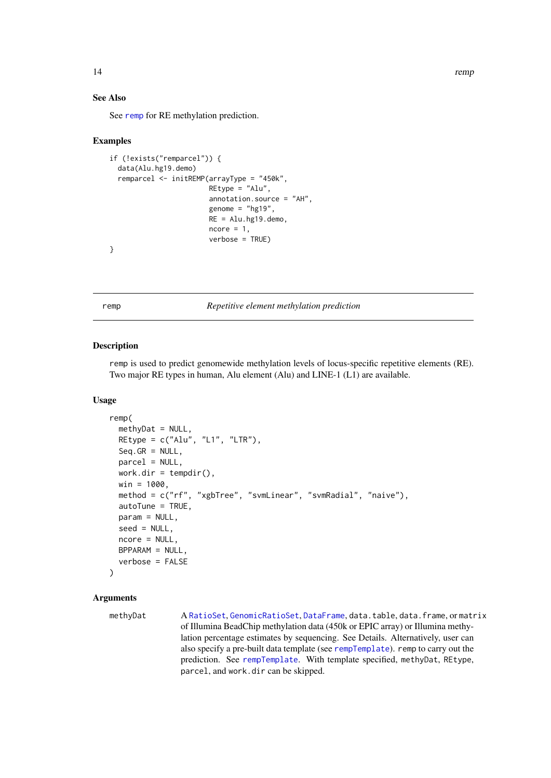#### See Also

See [remp](#page-13-1) for RE methylation prediction.

#### Examples

```
if (!exists("remparcel")) {
  data(Alu.hg19.demo)
  remparcel <- initREMP(arrayType = "450k",
                        REtype = "Alu",
                        annotation.source = "AH",
                        genome = "hg19",
                        RE = Alu.hg19.demo,
                        ncore = 1,
                        verbose = TRUE)
}
```
<span id="page-13-1"></span>remp *Repetitive element methylation prediction*

#### Description

remp is used to predict genomewide methylation levels of locus-specific repetitive elements (RE). Two major RE types in human, Alu element (Alu) and LINE-1 (L1) are available.

#### Usage

```
remp(
  methyDat = NULL,
  REtype = c("Alu", "L1", "LTR"),
  Seq.GR = NULL,
  parcel = NULL,
  work.dir = tempdir(),
  win = 1000,
  method = c("rf", "xgbTree", "svmLinear", "svmRadial", "naive"),
  autoTune = TRUE,
  param = NULL,
  seed = NULL,
  ncore = NULL,
  BPPARAM = NULL,
  verbose = FALSE
)
```
#### Arguments

methyDat A [RatioSet](#page-0-0), [GenomicRatioSet](#page-0-0), [DataFrame](#page-0-0), data.table, data.frame, or matrix of Illumina BeadChip methylation data (450k or EPIC array) or Illumina methylation percentage estimates by sequencing. See Details. Alternatively, user can also specify a pre-built data template (see [rempTemplate](#page-23-1)). remp to carry out the prediction. See [rempTemplate](#page-23-1). With template specified, methyDat, REtype, parcel, and work.dir can be skipped.

<span id="page-13-0"></span>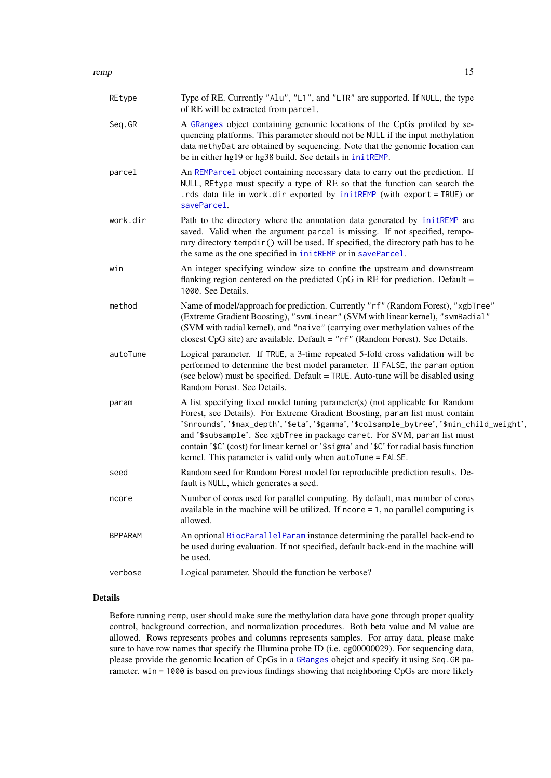<span id="page-14-0"></span>

| REtype         | Type of RE. Currently "Alu", "L1", and "LTR" are supported. If NULL, the type<br>of RE will be extracted from parcel.                                                                                                                                                                                                                                                                                                                                                                         |
|----------------|-----------------------------------------------------------------------------------------------------------------------------------------------------------------------------------------------------------------------------------------------------------------------------------------------------------------------------------------------------------------------------------------------------------------------------------------------------------------------------------------------|
| Seq.GR         | A GRanges object containing genomic locations of the CpGs profiled by se-<br>quencing platforms. This parameter should not be NULL if the input methylation<br>data methyDat are obtained by sequencing. Note that the genomic location can<br>be in either hg19 or hg38 build. See details in initREMP.                                                                                                                                                                                      |
| parcel         | An REMParcel object containing necessary data to carry out the prediction. If<br>NULL, REtype must specify a type of RE so that the function can search the<br>.rds data file in work.dir exported by initREMP (with export = TRUE) or<br>saveParcel.                                                                                                                                                                                                                                         |
| work.dir       | Path to the directory where the annotation data generated by initREMP are<br>saved. Valid when the argument parcel is missing. If not specified, tempo-<br>rary directory tempdir() will be used. If specified, the directory path has to be<br>the same as the one specified in initREMP or in saveParcel.                                                                                                                                                                                   |
| win            | An integer specifying window size to confine the upstream and downstream<br>flanking region centered on the predicted CpG in RE for prediction. Default =<br>1000. See Details.                                                                                                                                                                                                                                                                                                               |
| method         | Name of model/approach for prediction. Currently "rf" (Random Forest), "xgbTree"<br>(Extreme Gradient Boosting), "svmLinear" (SVM with linear kernel), "svmRadial"<br>(SVM with radial kernel), and "naive" (carrying over methylation values of the<br>closest CpG site) are available. Default = "rf" (Random Forest). See Details.                                                                                                                                                         |
| autoTune       | Logical parameter. If TRUE, a 3-time repeated 5-fold cross validation will be<br>performed to determine the best model parameter. If FALSE, the param option<br>(see below) must be specified. Default = TRUE. Auto-tune will be disabled using<br>Random Forest. See Details.                                                                                                                                                                                                                |
| param          | A list specifying fixed model tuning parameter(s) (not applicable for Random<br>Forest, see Details). For Extreme Gradient Boosting, param list must contain<br>'\$nrounds','\$max_depth','\$eta','\$gamma','\$colsample_bytree','\$min_child_weight',<br>and '\$subsample'. See xgbTree in package caret. For SVM, param list must<br>contain '\$C' (cost) for linear kernel or '\$sigma' and '\$C' for radial basis function<br>kernel. This parameter is valid only when autoTune = FALSE. |
| seed           | Random seed for Random Forest model for reproducible prediction results. De-<br>fault is NULL, which generates a seed.                                                                                                                                                                                                                                                                                                                                                                        |
| ncore          | Number of cores used for parallel computing. By default, max number of cores<br>available in the machine will be utilized. If $ncore = 1$ , no parallel computing is<br>allowed.                                                                                                                                                                                                                                                                                                              |
| <b>BPPARAM</b> | An optional BiocParallelParam instance determining the parallel back-end to<br>be used during evaluation. If not specified, default back-end in the machine will<br>be used.                                                                                                                                                                                                                                                                                                                  |
| verbose        | Logical parameter. Should the function be verbose?                                                                                                                                                                                                                                                                                                                                                                                                                                            |

# Details

Before running remp, user should make sure the methylation data have gone through proper quality control, background correction, and normalization procedures. Both beta value and M value are allowed. Rows represents probes and columns represents samples. For array data, please make sure to have row names that specify the Illumina probe ID (i.e. cg00000029). For sequencing data, please provide the genomic location of CpGs in a [GRanges](#page-0-0) obejct and specify it using Seq.GR parameter. win = 1000 is based on previous findings showing that neighboring CpGs are more likely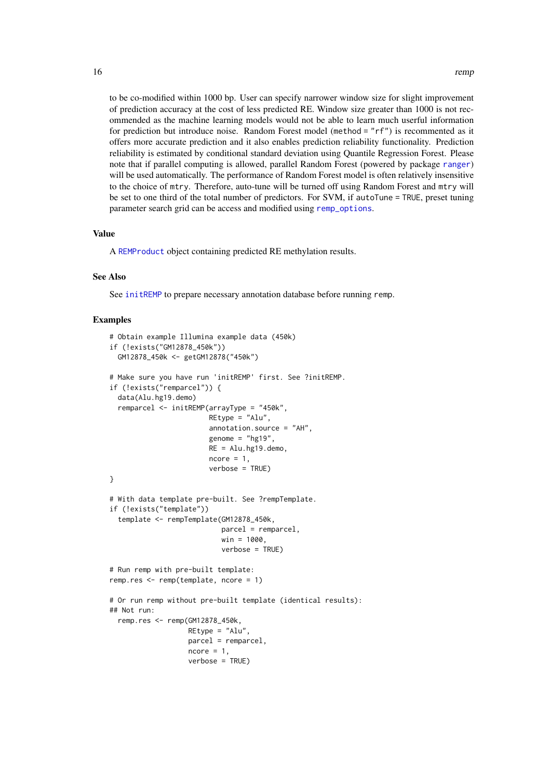<span id="page-15-0"></span>to be co-modified within 1000 bp. User can specify narrower window size for slight improvement of prediction accuracy at the cost of less predicted RE. Window size greater than 1000 is not recommended as the machine learning models would not be able to learn much userful information for prediction but introduce noise. Random Forest model (method = "rf") is recommented as it offers more accurate prediction and it also enables prediction reliability functionality. Prediction reliability is estimated by conditional standard deviation using Quantile Regression Forest. Please note that if parallel computing is allowed, parallel Random Forest (powered by package [ranger](#page-0-0)) will be used automatically. The performance of Random Forest model is often relatively insensitive to the choice of mtry. Therefore, auto-tune will be turned off using Random Forest and mtry will be set to one third of the total number of predictors. For SVM, if autoTune = TRUE, preset tuning parameter search grid can be access and modified using [remp\\_options](#page-24-1).

#### Value

A [REMProduct](#page-18-1) object containing predicted RE methylation results.

#### See Also

See [initREMP](#page-11-1) to prepare necessary annotation database before running remp.

```
# Obtain example Illumina example data (450k)
if (!exists("GM12878_450k"))
  GM12878_450k <- getGM12878("450k")
# Make sure you have run 'initREMP' first. See ?initREMP.
if (!exists("remparcel")) {
  data(Alu.hg19.demo)
  remparcel <- initREMP(arrayType = "450k",
                        REtype = "Alu",
                        annotation.source = "AH",
                        genome = "hg19",
                        RE = Alu.hg19.demo,
                        ncore = 1,
                        verbose = TRUE)
}
# With data template pre-built. See ?rempTemplate.
if (!exists("template"))
  template <- rempTemplate(GM12878_450k,
                           parcel = remparcel,
                           win = 1000,verbose = TRUE)
# Run remp with pre-built template:
remp.res <- remp(template, ncore = 1)
# Or run remp without pre-built template (identical results):
## Not run:
  remp.res <- remp(GM12878_450k,
                   REtype = "Alu",
                   parcel = remparcel,
                   ncore = 1,
                   verbose = TRUE)
```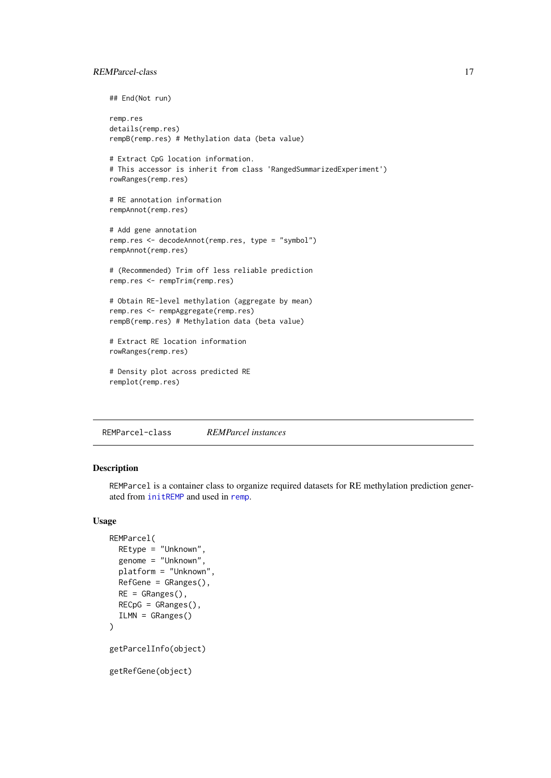#### <span id="page-16-0"></span>REMParcel-class 17

```
## End(Not run)
```

```
remp.res
details(remp.res)
rempB(remp.res) # Methylation data (beta value)
```

```
# Extract CpG location information.
# This accessor is inherit from class 'RangedSummarizedExperiment')
rowRanges(remp.res)
```

```
# RE annotation information
rempAnnot(remp.res)
```

```
# Add gene annotation
remp.res <- decodeAnnot(remp.res, type = "symbol")
rempAnnot(remp.res)
```
# (Recommended) Trim off less reliable prediction remp.res <- rempTrim(remp.res)

```
# Obtain RE-level methylation (aggregate by mean)
remp.res <- rempAggregate(remp.res)
rempB(remp.res) # Methylation data (beta value)
```

```
# Extract RE location information
rowRanges(remp.res)
```

```
# Density plot across predicted RE
remplot(remp.res)
```
REMParcel-class *REMParcel instances*

#### <span id="page-16-1"></span>Description

REMParcel is a container class to organize required datasets for RE methylation prediction generated from [initREMP](#page-11-1) and used in [remp](#page-13-1).

#### Usage

```
REMParcel(
  REtype = "Unknown",
  genome = "Unknown",
  platform = "Unknown",
  RefGene = GRanges(),
  RE = GRanges(),
  RECpG = GRanges(),
  ILMN = GRanges()
)
getParcelInfo(object)
getRefGene(object)
```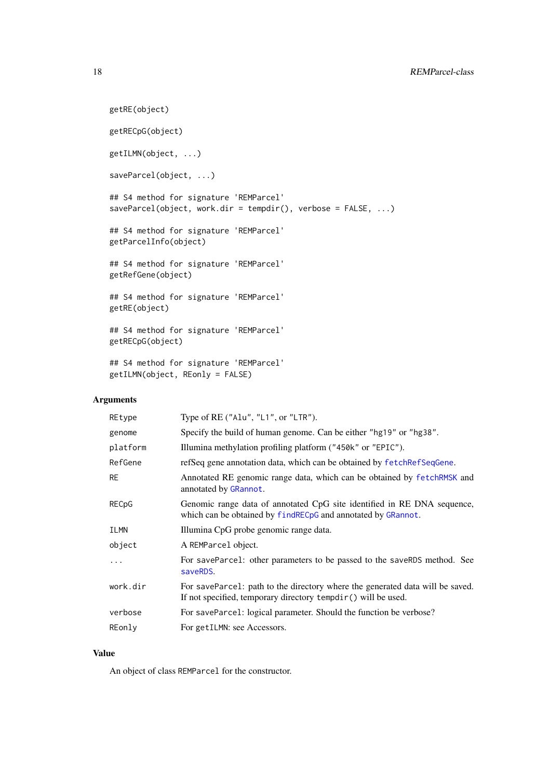```
getRE(object)
getRECpG(object)
getILMN(object, ...)
saveParcel(object, ...)
## S4 method for signature 'REMParcel'
saveParcel(object, work.dir = tempdir(), verbose = FALSE, ...)
## S4 method for signature 'REMParcel'
getParcelInfo(object)
## S4 method for signature 'REMParcel'
getRefGene(object)
## S4 method for signature 'REMParcel'
getRE(object)
## S4 method for signature 'REMParcel'
getRECpG(object)
## S4 method for signature 'REMParcel'
getILMN(object, REonly = FALSE)
```
#### Arguments

| REtype    | Type of RE ("Alu", "L1", or "LTR").                                                                                                             |
|-----------|-------------------------------------------------------------------------------------------------------------------------------------------------|
| genome    | Specify the build of human genome. Can be either "hg19" or "hg38".                                                                              |
| platform  | Illumina methylation profiling platform ("450k" or "EPIC").                                                                                     |
| RefGene   | refSeq gene annotation data, which can be obtained by fetchRefSeqGene.                                                                          |
| <b>RE</b> | Annotated RE genomic range data, which can be obtained by fetchRMSK and<br>annotated by GRannot.                                                |
| RECpG     | Genomic range data of annotated CpG site identified in RE DNA sequence,<br>which can be obtained by find REC pG and annotated by GRannot.       |
| ILMN      | Illumina CpG probe genomic range data.                                                                                                          |
| object    | A REMParcel object.                                                                                                                             |
| .         | For saveParce1: other parameters to be passed to the saveRDS method. See<br>saveRDS.                                                            |
| work.dir  | For saveParcel: path to the directory where the generated data will be saved.<br>If not specified, temporary directory tempdir () will be used. |
| verbose   | For saveParce1: logical parameter. Should the function be verbose?                                                                              |
| REonly    | For getILMN: see Accessors.                                                                                                                     |

# Value

An object of class REMParcel for the constructor.

<span id="page-17-0"></span>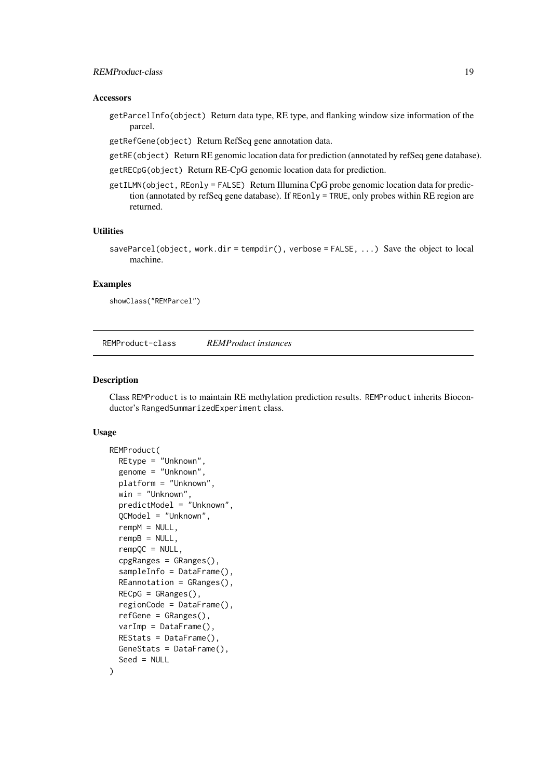#### <span id="page-18-0"></span>REMProduct-class 19

#### Accessors

getParcelInfo(object) Return data type, RE type, and flanking window size information of the parcel.

getRefGene(object) Return RefSeq gene annotation data.

- getRE(object) Return RE genomic location data for prediction (annotated by refSeq gene database).
- getRECpG(object) Return RE-CpG genomic location data for prediction.
- getILMN(object, REonly = FALSE) Return Illumina CpG probe genomic location data for prediction (annotated by refSeq gene database). If REonly = TRUE, only probes within RE region are returned.

### Utilities

saveParcel(object, work.dir = tempdir(), verbose =  $FALSE$ , ...) Save the object to local machine.

#### Examples

showClass("REMParcel")

REMProduct-class *REMProduct instances*

#### <span id="page-18-1"></span>Description

Class REMProduct is to maintain RE methylation prediction results. REMProduct inherits Bioconductor's RangedSummarizedExperiment class.

#### Usage

```
REMProduct(
  REtype = "Unknown",
  genome = "Unknown",
  platform = "Unknown",
  win = "Unknown",
  predictModel = "Unknown",
  QCModel = "Unknown",
  rempM = NULL,rempB = NULL,rempQC = NULL,
  cpgRanges = GRanges(),
  sampleInfo = DataFrame(),
  REannotation = GRanges(),
  RECpG = GRanges(),
  regionCode = DataFrame(),
  refGene = GRanges(),
  varImp = DataFrame(),
  REStats = DataFrame(),
  GeneStats = DataFrame(),
  Seed = NULL
```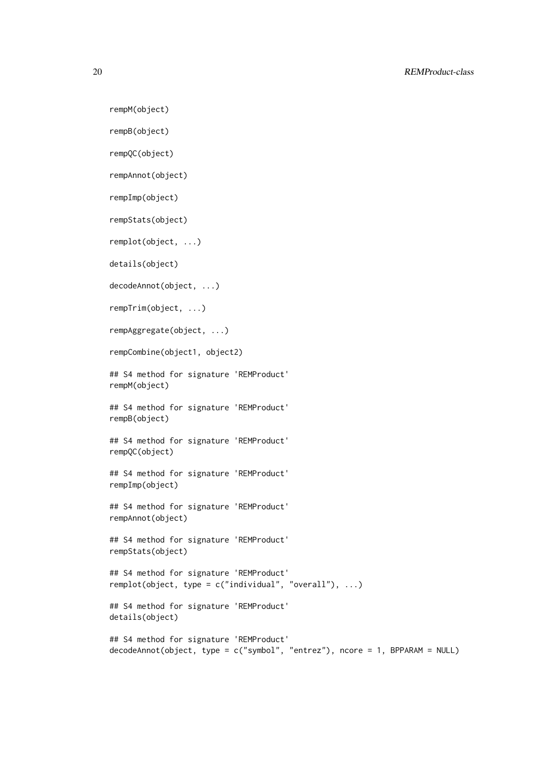rempM(object)

```
rempB(object)
```

```
rempQC(object)
```
rempAnnot(object)

rempImp(object)

rempStats(object)

remplot(object, ...)

details(object)

decodeAnnot(object, ...)

rempTrim(object, ...)

rempAggregate(object, ...)

rempCombine(object1, object2)

## S4 method for signature 'REMProduct' rempM(object)

## S4 method for signature 'REMProduct' rempB(object)

## S4 method for signature 'REMProduct' rempQC(object)

## S4 method for signature 'REMProduct' rempImp(object)

## S4 method for signature 'REMProduct' rempAnnot(object)

## S4 method for signature 'REMProduct' rempStats(object)

```
## S4 method for signature 'REMProduct'
remplot(object, type = c("individual", "overall"), ...)
```
## S4 method for signature 'REMProduct' details(object)

```
## S4 method for signature 'REMProduct'
decodeAnnot(object, type = c("symbol", "entrez"), ncore = 1, BPPARAM = NULL)
```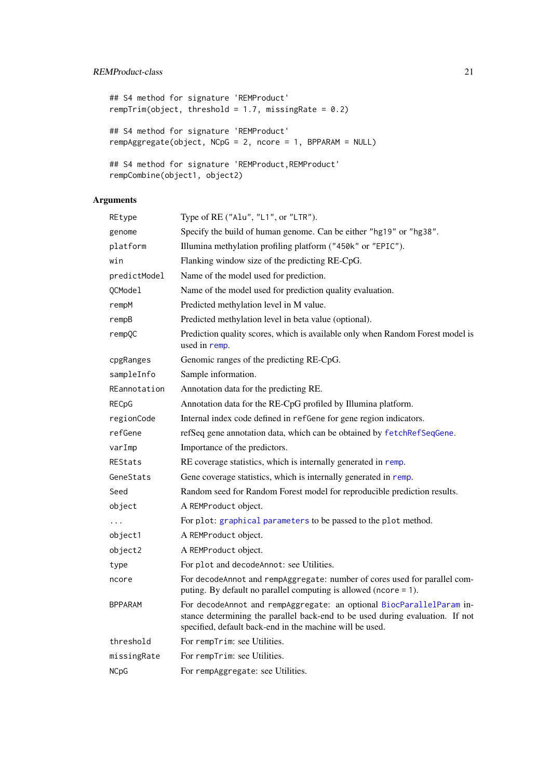# <span id="page-20-0"></span>REMProduct-class 21

```
## S4 method for signature 'REMProduct'
rempTrim(object, threshold = 1.7, missingRate = 0.2)
## S4 method for signature 'REMProduct'
rempAggregate(object, NCpG = 2, ncore = 1, BPPARAM = NULL)
## S4 method for signature 'REMProduct, REMProduct'
rempCombine(object1, object2)
```
# Arguments

| REtype         | Type of $RE("Alu", "L1", or "LTR").$                                                                                                                                                                              |
|----------------|-------------------------------------------------------------------------------------------------------------------------------------------------------------------------------------------------------------------|
| genome         | Specify the build of human genome. Can be either "hg19" or "hg38".                                                                                                                                                |
| platform       | Illumina methylation profiling platform ("450k" or "EPIC").                                                                                                                                                       |
| win            | Flanking window size of the predicting RE-CpG.                                                                                                                                                                    |
| predictModel   | Name of the model used for prediction.                                                                                                                                                                            |
| QCModel        | Name of the model used for prediction quality evaluation.                                                                                                                                                         |
| rempM          | Predicted methylation level in M value.                                                                                                                                                                           |
| rempB          | Predicted methylation level in beta value (optional).                                                                                                                                                             |
| rempQC         | Prediction quality scores, which is available only when Random Forest model is<br>used in remp.                                                                                                                   |
| cpgRanges      | Genomic ranges of the predicting RE-CpG.                                                                                                                                                                          |
| sampleInfo     | Sample information.                                                                                                                                                                                               |
| REannotation   | Annotation data for the predicting RE.                                                                                                                                                                            |
| RECpG          | Annotation data for the RE-CpG profiled by Illumina platform.                                                                                                                                                     |
| regionCode     | Internal index code defined in refGene for gene region indicators.                                                                                                                                                |
| refGene        | refSeq gene annotation data, which can be obtained by fetchRefSeqGene.                                                                                                                                            |
| varImp         | Importance of the predictors.                                                                                                                                                                                     |
| <b>REStats</b> | RE coverage statistics, which is internally generated in remp.                                                                                                                                                    |
| GeneStats      | Gene coverage statistics, which is internally generated in remp.                                                                                                                                                  |
| Seed           | Random seed for Random Forest model for reproducible prediction results.                                                                                                                                          |
| object         | A REMProduct object.                                                                                                                                                                                              |
| .              | For plot: graphical parameters to be passed to the plot method.                                                                                                                                                   |
| object1        | A REMProduct object.                                                                                                                                                                                              |
| object2        | A REMProduct object.                                                                                                                                                                                              |
| type           | For plot and decodeAnnot: see Utilities.                                                                                                                                                                          |
| ncore          | For decodeAnnot and rempAggregate: number of cores used for parallel com-<br>puting. By default no parallel computing is allowed (ncore = 1).                                                                     |
| BPPARAM        | For decodeAnnot and rempAggregate: an optional BiocParallelParam in-<br>stance determining the parallel back-end to be used during evaluation. If not<br>specified, default back-end in the machine will be used. |
| threshold      | For rempTrim: see Utilities.                                                                                                                                                                                      |
| missingRate    | For rempTrim: see Utilities.                                                                                                                                                                                      |
| <b>NCpG</b>    | For rempAggregate: see Utilities.                                                                                                                                                                                 |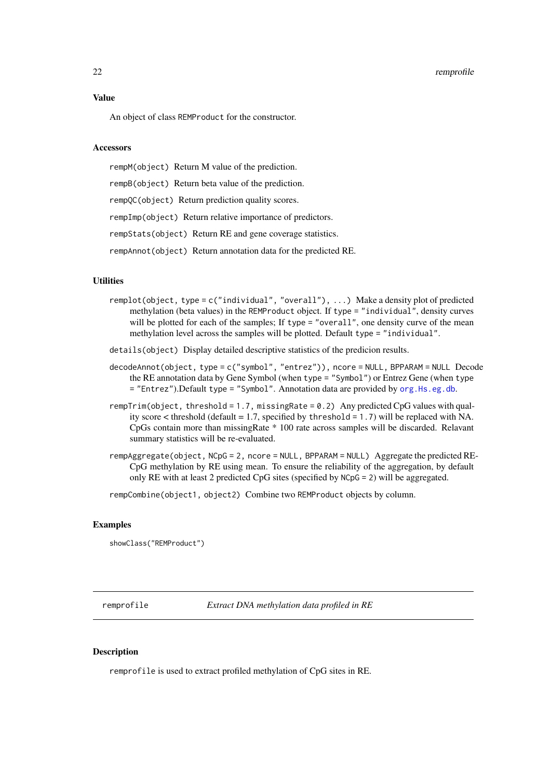#### <span id="page-21-0"></span>22 remprofile to the contract of the contract of the contract of the contract of the contract of the contract of the contract of the contract of the contract of the contract of the contract of the contract of the contract

#### Value

An object of class REMProduct for the constructor.

#### Accessors

rempM(object) Return M value of the prediction. rempB(object) Return beta value of the prediction. rempQC(object) Return prediction quality scores. rempImp(object) Return relative importance of predictors. rempStats(object) Return RE and gene coverage statistics. rempAnnot(object) Return annotation data for the predicted RE.

# Utilities

- remplot(object, type = c("individual", "overall"), ...) Make a density plot of predicted methylation (beta values) in the REMProduct object. If type = "individual", density curves will be plotted for each of the samples; If type = "overall", one density curve of the mean methylation level across the samples will be plotted. Default type = "individual".
- details(object) Display detailed descriptive statistics of the predicion results.
- decodeAnnot(object, type = c("symbol", "entrez")), ncore = NULL, BPPARAM = NULL Decode the RE annotation data by Gene Symbol (when type = "Symbol") or Entrez Gene (when type = "Entrez").Default type = "Symbol". Annotation data are provided by [org.Hs.eg.db](#page-0-0).
- rempTrim(object, threshold = 1.7, missingRate = 0.2) Any predicted CpG values with quality score  $\lt$  threshold (default = 1.7, specified by threshold = 1.7) will be replaced with NA. CpGs contain more than missingRate \* 100 rate across samples will be discarded. Relavant summary statistics will be re-evaluated.
- rempAggregate(object, NCpG = 2, ncore = NULL, BPPARAM = NULL) Aggregate the predicted RE-CpG methylation by RE using mean. To ensure the reliability of the aggregation, by default only RE with at least 2 predicted CpG sites (specified by NCpG = 2) will be aggregated.

rempCombine(object1, object2) Combine two REMProduct objects by column.

#### Examples

showClass("REMProduct")

<span id="page-21-1"></span>remprofile *Extract DNA methylation data profiled in RE*

#### Description

remprofile is used to extract profiled methylation of CpG sites in RE.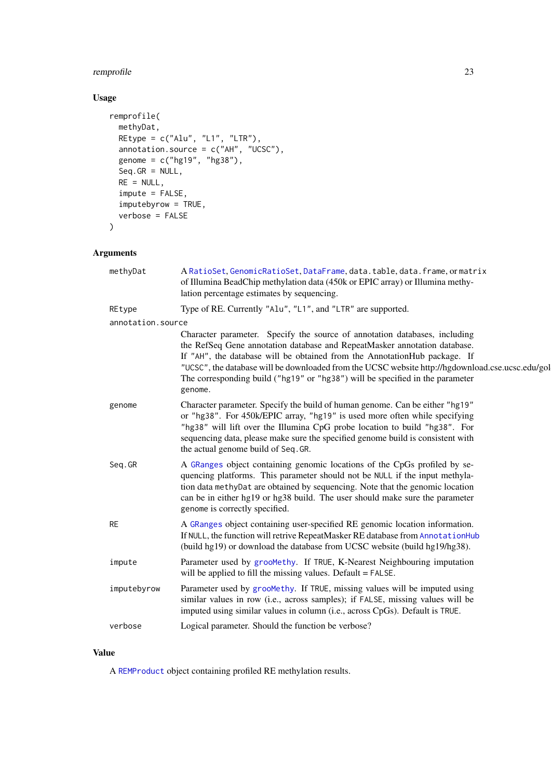# <span id="page-22-0"></span>remprofile 23

# Usage

```
remprofile(
  methyDat,
  REtype = c("Alu", "L1", "LTR"),
  annotation.source = c("AH", "UCSC"),
  genome = c("hg19", "hg38"),
  Seq.GR = NULL,RE = NULL,impute = FALSE,
  imputebyrow = TRUE,
  verbose = FALSE
\lambda
```
# Arguments

| methyDat          | A RatioSet, GenomicRatioSet, DataFrame, data.table, data.frame, or matrix<br>of Illumina BeadChip methylation data (450k or EPIC array) or Illumina methy-<br>lation percentage estimates by sequencing.                                                                                                                                                                                                                             |
|-------------------|--------------------------------------------------------------------------------------------------------------------------------------------------------------------------------------------------------------------------------------------------------------------------------------------------------------------------------------------------------------------------------------------------------------------------------------|
| REtype            | Type of RE. Currently "Alu", "L1", and "LTR" are supported.                                                                                                                                                                                                                                                                                                                                                                          |
| annotation.source |                                                                                                                                                                                                                                                                                                                                                                                                                                      |
|                   | Character parameter. Specify the source of annotation databases, including<br>the RefSeq Gene annotation database and RepeatMasker annotation database.<br>If "AH", the database will be obtained from the AnnotationHub package. If<br>"UCSC", the database will be downloaded from the UCSC website http://hgdownload.cse.ucsc.edu/gol<br>The corresponding build ("hg19" or "hg38") will be specified in the parameter<br>genome. |
| genome            | Character parameter. Specify the build of human genome. Can be either "hg19"<br>or "hg38". For 450k/EPIC array, "hg19" is used more often while specifying<br>"hg38" will lift over the Illumina CpG probe location to build "hg38". For<br>sequencing data, please make sure the specified genome build is consistent with<br>the actual genome build of Seq. GR.                                                                   |
| Seq.GR            | A GRanges object containing genomic locations of the CpGs profiled by se-<br>quencing platforms. This parameter should not be NULL if the input methyla-<br>tion data methyDat are obtained by sequencing. Note that the genomic location<br>can be in either hg19 or hg38 build. The user should make sure the parameter<br>genome is correctly specified.                                                                          |
| <b>RE</b>         | A GRanges object containing user-specified RE genomic location information.<br>If NULL, the function will retrive RepeatMasker RE database from AnnotationHub<br>(build hg19) or download the database from UCSC website (build hg19/hg38).                                                                                                                                                                                          |
| impute            | Parameter used by groomethy. If TRUE, K-Nearest Neighbouring imputation<br>will be applied to fill the missing values. Default = FALSE.                                                                                                                                                                                                                                                                                              |
| imputebyrow       | Parameter used by groomethy. If TRUE, missing values will be imputed using<br>similar values in row (i.e., across samples); if FALSE, missing values will be<br>imputed using similar values in column (i.e., across CpGs). Default is TRUE.                                                                                                                                                                                         |
| verbose           | Logical parameter. Should the function be verbose?                                                                                                                                                                                                                                                                                                                                                                                   |
|                   |                                                                                                                                                                                                                                                                                                                                                                                                                                      |

# Value

A [REMProduct](#page-18-1) object containing profiled RE methylation results.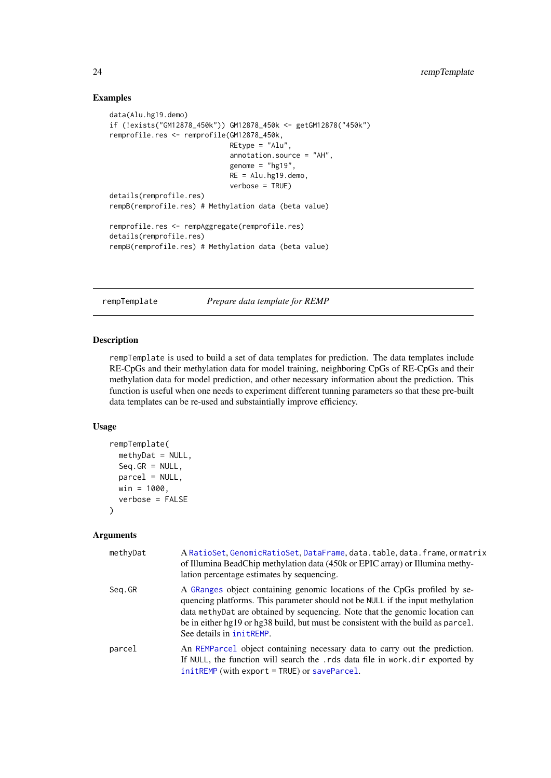## Examples

```
data(Alu.hg19.demo)
if (!exists("GM12878_450k")) GM12878_450k <- getGM12878("450k")
remprofile.res <- remprofile(GM12878_450k,
                             REtype = "Alu",
                             annotation.source = "AH",
                             genome = "hg19",
                             RE = Alu.hg19.demo,
                             verbose = TRUE)
details(remprofile.res)
rempB(remprofile.res) # Methylation data (beta value)
remprofile.res <- rempAggregate(remprofile.res)
details(remprofile.res)
rempB(remprofile.res) # Methylation data (beta value)
```
<span id="page-23-1"></span>rempTemplate *Prepare data template for REMP*

#### Description

rempTemplate is used to build a set of data templates for prediction. The data templates include RE-CpGs and their methylation data for model training, neighboring CpGs of RE-CpGs and their methylation data for model prediction, and other necessary information about the prediction. This function is useful when one needs to experiment different tunning parameters so that these pre-built data templates can be re-used and substaintially improve efficiency.

#### Usage

```
rempTemplate(
  methyDat = NULL,
  Seq.GR = NULL,\text{parcel} = \text{NULL},
  win = 1000,verbose = FALSE
)
```
#### Arguments

| methyDat | A RatioSet, GenomicRatioSet, DataFrame, data.table, data.frame, or matrix<br>of Illumina BeadChip methylation data (450k or EPIC array) or Illumina methy-<br>lation percentage estimates by sequencing.                                                                                                                                                      |
|----------|---------------------------------------------------------------------------------------------------------------------------------------------------------------------------------------------------------------------------------------------------------------------------------------------------------------------------------------------------------------|
| Seg.GR   | A GRanges object containing genomic locations of the CpGs profiled by se-<br>quencing platforms. This parameter should not be NULL if the input methylation<br>data methy Dat are obtained by sequencing. Note that the genomic location can<br>be in either hg19 or hg38 build, but must be consistent with the build as parcel.<br>See details in initREMP. |
| parcel   | An REMParcel object containing necessary data to carry out the prediction.<br>If NULL, the function will search the .rds data file in work.dir exported by<br>$init$ REMP (with export = TRUE) or saveParcel.                                                                                                                                                 |

<span id="page-23-0"></span>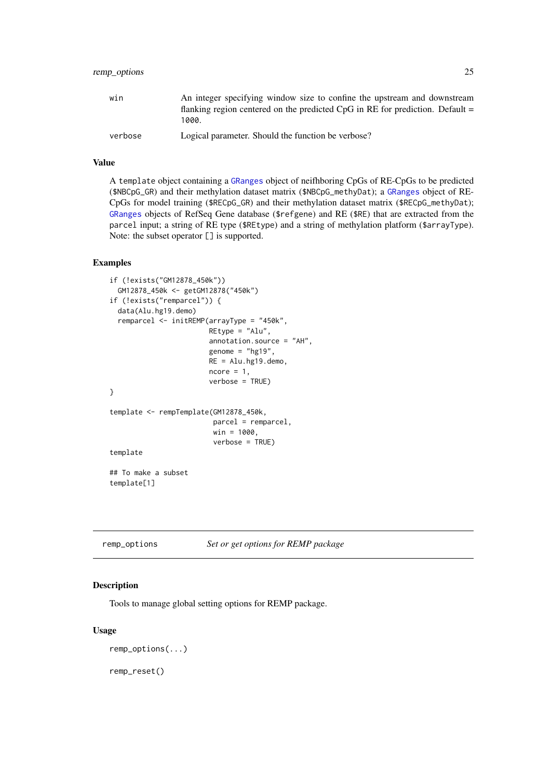#### <span id="page-24-0"></span>remp\_options 25

| win     | An integer specifying window size to confine the upstream and downstream                 |
|---------|------------------------------------------------------------------------------------------|
|         | flanking region centered on the predicted $CpG$ in RE for prediction. Default =<br>1000. |
| verbose | Logical parameter. Should the function be verbose?                                       |

#### Value

A template object containing a [GRanges](#page-0-0) object of neifhboring CpGs of RE-CpGs to be predicted (\$NBCpG\_GR) and their methylation dataset matrix (\$NBCpG\_methyDat); a [GRanges](#page-0-0) object of RE-CpGs for model training (\$RECpG\_GR) and their methylation dataset matrix (\$RECpG\_methyDat); [GRanges](#page-0-0) objects of RefSeq Gene database (\$refgene) and RE (\$RE) that are extracted from the parcel input; a string of RE type (\$REtype) and a string of methylation platform (\$arrayType). Note: the subset operator [] is supported.

#### Examples

```
if (!exists("GM12878_450k"))
  GM12878_450k <- getGM12878("450k")
if (!exists("remparcel")) {
  data(Alu.hg19.demo)
  remparcel <- initREMP(arrayType = "450k",
                        REtype = "Alu",
                        annotation.source = "AH",
                        genome = "hg19",
                        RE = Allu.hg19.demo,ncore = 1,
                        verbose = TRUE)
}
template <- rempTemplate(GM12878_450k,
                         parcel = remparcel,
                         win = 1000,
                         verbose = TRUE)
template
## To make a subset
template[1]
```
<span id="page-24-1"></span>remp\_options *Set or get options for REMP package*

#### Description

Tools to manage global setting options for REMP package.

# Usage

```
remp_options(...)
```
remp\_reset()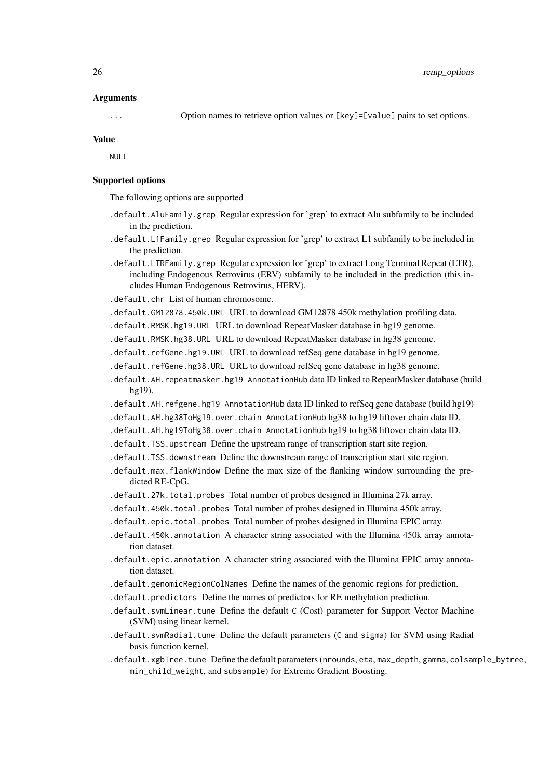#### Arguments

... Option names to retrieve option values or [key]=[value] pairs to set options.

#### Value

NULL

#### Supported options

The following options are supported

- .default.AluFamily.grep Regular expression for 'grep' to extract Alu subfamily to be included in the prediction.
- .default.L1Family.grep Regular expression for 'grep' to extract L1 subfamily to be included in the prediction.
- .default.LTRFamily.grep Regular expression for 'grep' to extract Long Terminal Repeat (LTR), including Endogenous Retrovirus (ERV) subfamily to be included in the prediction (this includes Human Endogenous Retrovirus, HERV).

.default.chr List of human chromosome.

- .default.GM12878.450k.URL URL to download GM12878 450k methylation profiling data.
- .default.RMSK.hg19.URL URL to download RepeatMasker database in hg19 genome.
- .default.RMSK.hg38.URL URL to download RepeatMasker database in hg38 genome.
- .default.refGene.hg19.URL URL to download refSeq gene database in hg19 genome.
- .default.refGene.hg38.URL URL to download refSeq gene database in hg38 genome.
- .default.AH.repeatmasker.hg19 AnnotationHub data ID linked to RepeatMasker database (build hg19).
- .default.AH.refgene.hg19 AnnotationHub data ID linked to refSeq gene database (build hg19)
- .default.AH.hg38ToHg19.over.chain AnnotationHub hg38 to hg19 liftover chain data ID.
- .default.AH.hg19ToHg38.over.chain AnnotationHub hg19 to hg38 liftover chain data ID.
- .default.TSS.upstream Define the upstream range of transcription start site region.
- .default.TSS.downstream Define the downstream range of transcription start site region.
- .default.max.flankWindow Define the max size of the flanking window surrounding the predicted RE-CpG.
- .default.27k.total.probes Total number of probes designed in Illumina 27k array.
- .default.450k.total.probes Total number of probes designed in Illumina 450k array.
- .default.epic.total.probes Total number of probes designed in Illumina EPIC array.
- .default.450k.annotation A character string associated with the Illumina 450k array annotation dataset.
- .default.epic.annotation A character string associated with the Illumina EPIC array annotation dataset.
- .default.genomicRegionColNames Define the names of the genomic regions for prediction.
- .default.predictors Define the names of predictors for RE methylation prediction.
- .default.svmLinear.tune Define the default C (Cost) parameter for Support Vector Machine (SVM) using linear kernel.
- .default.svmRadial.tune Define the default parameters (C and sigma) for SVM using Radial basis function kernel.
- .default.xgbTree.tune Define the default parameters (nrounds, eta, max\_depth, gamma, colsample\_bytree, min\_child\_weight, and subsample) for Extreme Gradient Boosting.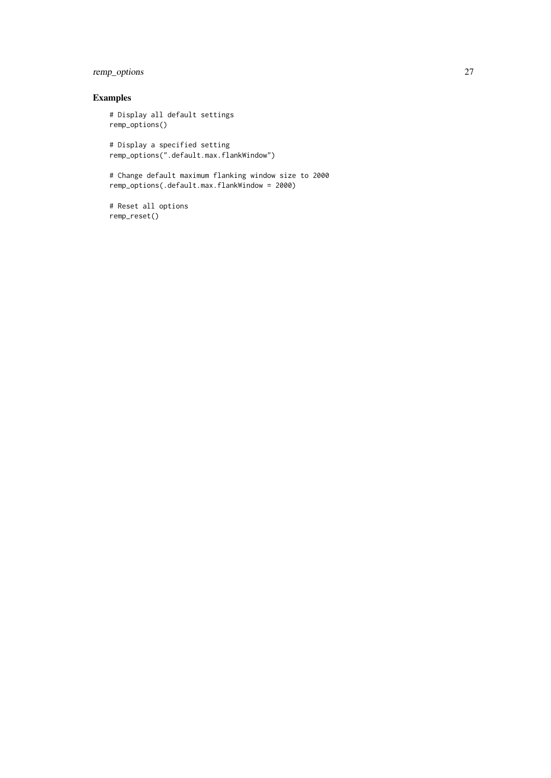# remp\_options 27

# Examples

# Display all default settings remp\_options()

# Display a specified setting remp\_options(".default.max.flankWindow")

# Change default maximum flanking window size to 2000 remp\_options(.default.max.flankWindow = 2000)

# Reset all options remp\_reset()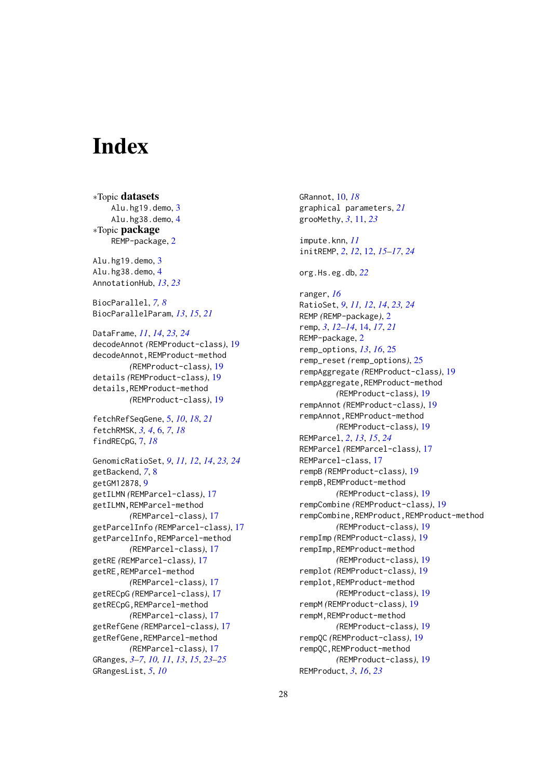# <span id="page-27-0"></span>Index

∗Topic datasets Alu.hg19.demo, [3](#page-2-0) Alu.hg38.demo, [4](#page-3-0) ∗Topic package REMP-package, [2](#page-1-0) Alu.hg19.demo, [3](#page-2-0) Alu.hg38.demo, [4](#page-3-0) AnnotationHub, *[13](#page-12-0)*, *[23](#page-22-0)* BiocParallel, *[7,](#page-6-0) [8](#page-7-0)* BiocParallelParam, *[13](#page-12-0)*, *[15](#page-14-0)*, *[21](#page-20-0)* DataFrame, *[11](#page-10-0)*, *[14](#page-13-0)*, *[23,](#page-22-0) [24](#page-23-0)* decodeAnnot *(*REMProduct-class*)*, [19](#page-18-0) decodeAnnot,REMProduct-method *(*REMProduct-class*)*, [19](#page-18-0) details *(*REMProduct-class*)*, [19](#page-18-0) details,REMProduct-method *(*REMProduct-class*)*, [19](#page-18-0) fetchRefSeqGene, [5,](#page-4-0) *[10](#page-9-0)*, *[18](#page-17-0)*, *[21](#page-20-0)* fetchRMSK, *[3,](#page-2-0) [4](#page-3-0)*, [6,](#page-5-0) *[7](#page-6-0)*, *[18](#page-17-0)* findRECpG, [7,](#page-6-0) *[18](#page-17-0)* GenomicRatioSet, *[9](#page-8-0)*, *[11,](#page-10-0) [12](#page-11-0)*, *[14](#page-13-0)*, *[23,](#page-22-0) [24](#page-23-0)* getBackend, *[7](#page-6-0)*, [8](#page-7-0) getGM12878, [9](#page-8-0) getILMN *(*REMParcel-class*)*, [17](#page-16-0) getILMN,REMParcel-method *(*REMParcel-class*)*, [17](#page-16-0) getParcelInfo *(*REMParcel-class*)*, [17](#page-16-0) getParcelInfo,REMParcel-method *(*REMParcel-class*)*, [17](#page-16-0) getRE *(*REMParcel-class*)*, [17](#page-16-0) getRE,REMParcel-method *(*REMParcel-class*)*, [17](#page-16-0) getRECpG *(*REMParcel-class*)*, [17](#page-16-0) getRECpG,REMParcel-method *(*REMParcel-class*)*, [17](#page-16-0) getRefGene *(*REMParcel-class*)*, [17](#page-16-0) getRefGene,REMParcel-method *(*REMParcel-class*)*, [17](#page-16-0) GRanges, *[3](#page-2-0)[–7](#page-6-0)*, *[10,](#page-9-0) [11](#page-10-0)*, *[13](#page-12-0)*, *[15](#page-14-0)*, *[23–](#page-22-0)[25](#page-24-0)* GRangesList, *[5](#page-4-0)*, *[10](#page-9-0)*

GRannot, [10,](#page-9-0) *[18](#page-17-0)* graphical parameters, *[21](#page-20-0)* grooMethy, *[3](#page-2-0)*, [11,](#page-10-0) *[23](#page-22-0)* impute.knn, *[11](#page-10-0)* initREMP, *[2](#page-1-0)*, *[12](#page-11-0)*, [12,](#page-11-0) *[15](#page-14-0)[–17](#page-16-0)*, *[24](#page-23-0)* org.Hs.eg.db, *[22](#page-21-0)* ranger, *[16](#page-15-0)* RatioSet, *[9](#page-8-0)*, *[11,](#page-10-0) [12](#page-11-0)*, *[14](#page-13-0)*, *[23,](#page-22-0) [24](#page-23-0)* REMP *(*REMP-package*)*, [2](#page-1-0) remp, *[3](#page-2-0)*, *[12](#page-11-0)[–14](#page-13-0)*, [14,](#page-13-0) *[17](#page-16-0)*, *[21](#page-20-0)* REMP-package, [2](#page-1-0) remp\_options, *[13](#page-12-0)*, *[16](#page-15-0)*, [25](#page-24-0) remp\_reset *(*remp\_options*)*, [25](#page-24-0) rempAggregate *(*REMProduct-class*)*, [19](#page-18-0) rempAggregate,REMProduct-method *(*REMProduct-class*)*, [19](#page-18-0) rempAnnot *(*REMProduct-class*)*, [19](#page-18-0) rempAnnot,REMProduct-method *(*REMProduct-class*)*, [19](#page-18-0) REMParcel, *[2](#page-1-0)*, *[13](#page-12-0)*, *[15](#page-14-0)*, *[24](#page-23-0)* REMParcel *(*REMParcel-class*)*, [17](#page-16-0) REMParcel-class, [17](#page-16-0) rempB *(*REMProduct-class*)*, [19](#page-18-0) rempB,REMProduct-method *(*REMProduct-class*)*, [19](#page-18-0) rempCombine *(*REMProduct-class*)*, [19](#page-18-0) rempCombine,REMProduct,REMProduct-method *(*REMProduct-class*)*, [19](#page-18-0) rempImp *(*REMProduct-class*)*, [19](#page-18-0) rempImp,REMProduct-method *(*REMProduct-class*)*, [19](#page-18-0) remplot *(*REMProduct-class*)*, [19](#page-18-0) remplot,REMProduct-method *(*REMProduct-class*)*, [19](#page-18-0) rempM *(*REMProduct-class*)*, [19](#page-18-0) rempM,REMProduct-method *(*REMProduct-class*)*, [19](#page-18-0) rempQC *(*REMProduct-class*)*, [19](#page-18-0) rempQC,REMProduct-method *(*REMProduct-class*)*, [19](#page-18-0) REMProduct, *[3](#page-2-0)*, *[16](#page-15-0)*, *[23](#page-22-0)*